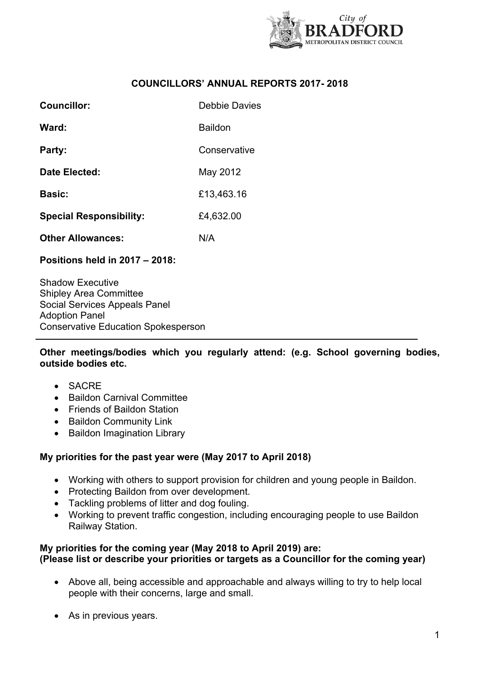

# **COUNCILLORS' ANNUAL REPORTS 2017- 2018**

| Councillor:                    | Debbie Davies |
|--------------------------------|---------------|
| Ward:                          | Baildon       |
| Party:                         | Conservative  |
| Date Elected:                  | May 2012      |
| <b>Basic:</b>                  | £13,463.16    |
| <b>Special Responsibility:</b> | £4,632.00     |
| <b>Other Allowances:</b>       | N/A           |

## **Positions held in 2017 – 2018:**

Shadow Executive Shipley Area Committee Social Services Appeals Panel Adoption Panel Conservative Education Spokesperson

**Other meetings/bodies which you regularly attend: (e.g. School governing bodies, outside bodies etc.**

- SACRE
- Baildon Carnival Committee
- Friends of Baildon Station
- Baildon Community Link
- Baildon Imagination Library

## **My priorities for the past year were (May 2017 to April 2018)**

- Working with others to support provision for children and young people in Baildon.
- Protecting Baildon from over development.
- Tackling problems of litter and dog fouling.
- Working to prevent traffic congestion, including encouraging people to use Baildon Railway Station.

#### **My priorities for the coming year (May 2018 to April 2019) are: (Please list or describe your priorities or targets as a Councillor for the coming year)**

- Above all, being accessible and approachable and always willing to try to help local people with their concerns, large and small.
- As in previous years.